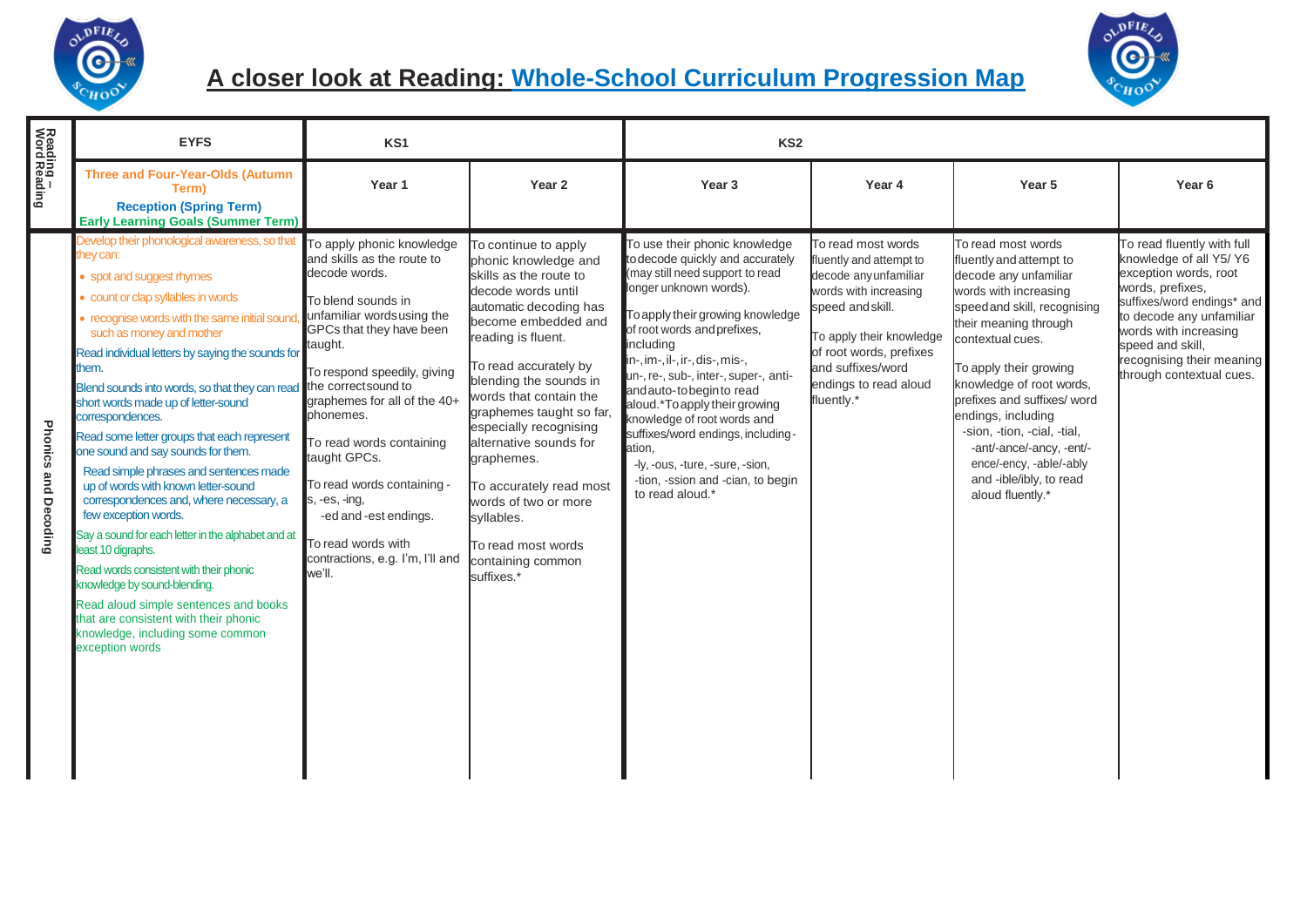

## **A closer look at Reading: Whole-School Curriculum Progression Map**



|                           | <b>EYFS</b>                                                                                                                                                                                                                                                                                                                                                                                                                                                                                                                                                                                                                                                                                                                                                                                                                                                                                                                                                                                 | KS <sub>1</sub>                                                                                                                                                                                                                                                                                                                                                                                                                          |                                                                                                                                                                                                                                                                                                                                                                                                                                                                          | KS <sub>2</sub>                                                                                                                                                                                                                                                                                                                                                                                                                                                                                                                 |                                                                                                                                                                                                                                        |                                                                                                                                                                                                                                                                                                                                                                                                                              |                                                                                                                                                                                                                                                                    |
|---------------------------|---------------------------------------------------------------------------------------------------------------------------------------------------------------------------------------------------------------------------------------------------------------------------------------------------------------------------------------------------------------------------------------------------------------------------------------------------------------------------------------------------------------------------------------------------------------------------------------------------------------------------------------------------------------------------------------------------------------------------------------------------------------------------------------------------------------------------------------------------------------------------------------------------------------------------------------------------------------------------------------------|------------------------------------------------------------------------------------------------------------------------------------------------------------------------------------------------------------------------------------------------------------------------------------------------------------------------------------------------------------------------------------------------------------------------------------------|--------------------------------------------------------------------------------------------------------------------------------------------------------------------------------------------------------------------------------------------------------------------------------------------------------------------------------------------------------------------------------------------------------------------------------------------------------------------------|---------------------------------------------------------------------------------------------------------------------------------------------------------------------------------------------------------------------------------------------------------------------------------------------------------------------------------------------------------------------------------------------------------------------------------------------------------------------------------------------------------------------------------|----------------------------------------------------------------------------------------------------------------------------------------------------------------------------------------------------------------------------------------|------------------------------------------------------------------------------------------------------------------------------------------------------------------------------------------------------------------------------------------------------------------------------------------------------------------------------------------------------------------------------------------------------------------------------|--------------------------------------------------------------------------------------------------------------------------------------------------------------------------------------------------------------------------------------------------------------------|
| Reading –<br>Word Reading | <b>Three and Four-Year-Olds (Autumn</b><br>Term)<br><b>Reception (Spring Term)</b>                                                                                                                                                                                                                                                                                                                                                                                                                                                                                                                                                                                                                                                                                                                                                                                                                                                                                                          | Year 1                                                                                                                                                                                                                                                                                                                                                                                                                                   | Year <sub>2</sub>                                                                                                                                                                                                                                                                                                                                                                                                                                                        | Year <sub>3</sub>                                                                                                                                                                                                                                                                                                                                                                                                                                                                                                               | Year 4                                                                                                                                                                                                                                 | Year 5                                                                                                                                                                                                                                                                                                                                                                                                                       | Year <sub>6</sub>                                                                                                                                                                                                                                                  |
| Phonics and Decoding      | <b>Early Learning Goals (Summer Term)</b><br>Develop their phonological awareness, so that<br>they can:<br>• spot and suggest rhymes<br>count or clap syllables in words<br>recognise words with the same initial sound<br>such as money and mother<br>Read individual letters by saying the sounds for<br>them.<br>Blend sounds into words, so that they can read the correct sound to<br>short words made up of letter-sound<br>correspondences.<br>Read some letter groups that each represent<br>one sound and say sounds for them.<br>Read simple phrases and sentences made<br>up of words with known letter-sound<br>correspondences and, where necessary, a<br>few exception words.<br>Say a sound for each letter in the alphabet and at<br>least 10 digraphs.<br>Read words consistent with their phonic<br>knowledge by sound-blending.<br>Read aloud simple sentences and books<br>that are consistent with their phonic<br>knowledge, including some common<br>exception words | To apply phonic knowledge<br>and skills as the route to<br>decode words.<br>To blend sounds in<br>unfamiliar wordsusing the<br>GPCs that they have been<br>taught.<br>To respond speedily, giving<br>graphemes for all of the 40+<br>phonemes.<br>To read words containing<br>taught GPCs.<br>To read words containing -<br>$s, -es, -ing,$<br>-ed and -est endings.<br>To read words with<br>contractions, e.g. I'm, I'll and<br>we'll. | To continue to apply<br>phonic knowledge and<br>skills as the route to<br>decode words until<br>automatic decoding has<br>become embedded and<br>reading is fluent.<br>To read accurately by<br>blending the sounds in<br>words that contain the<br>graphemes taught so far,<br>especially recognising<br>alternative sounds for<br>graphemes.<br>To accurately read most<br>words of two or more<br>syllables.<br>To read most words<br>containing common<br>suffixes.* | To use their phonic knowledge<br>to decode quickly and accurately<br>(may still need support to read<br>longer unknown words).<br>To apply their growing knowledge<br>of root words and prefixes,<br>including<br>in-, im-, il-, ir-, dis-, mis-,<br>un-, re-, sub-, inter-, super-, anti-<br>and auto-tobeginto read<br>aloud.*To apply their growing<br>knowledge of root words and<br>suffixes/word endings, including-<br>ation,<br>-ly, -ous, -ture, -sure, -sion,<br>-tion, -ssion and -cian, to begin<br>to read aloud.* | To read most words<br>fluently and attempt to<br>decode any unfamiliar<br>words with increasing<br>speed and skill.<br>To apply their knowledge<br>of root words, prefixes<br>and suffixes/word<br>endings to read aloud<br>fluently.* | To read most words<br>fluently and attempt to<br>decode any unfamiliar<br>words with increasing<br>speed and skill, recognising<br>their meaning through<br>contextual cues.<br>To apply their growing<br>knowledge of root words,<br>prefixes and suffixes/ word<br>endings, including<br>-sion, -tion, -cial, -tial,<br>-ant/-ance/-ancy, -ent/-<br>ence/-ency, -able/-ably<br>and -ible/ibly, to read<br>aloud fluently.* | To read fluently with full<br>knowledge of all Y5/ Y6<br>exception words, root<br>words, prefixes,<br>suffixes/word endings* and<br>to decode any unfamiliar<br>words with increasing<br>speed and skill.<br>recognising their meaning<br>through contextual cues. |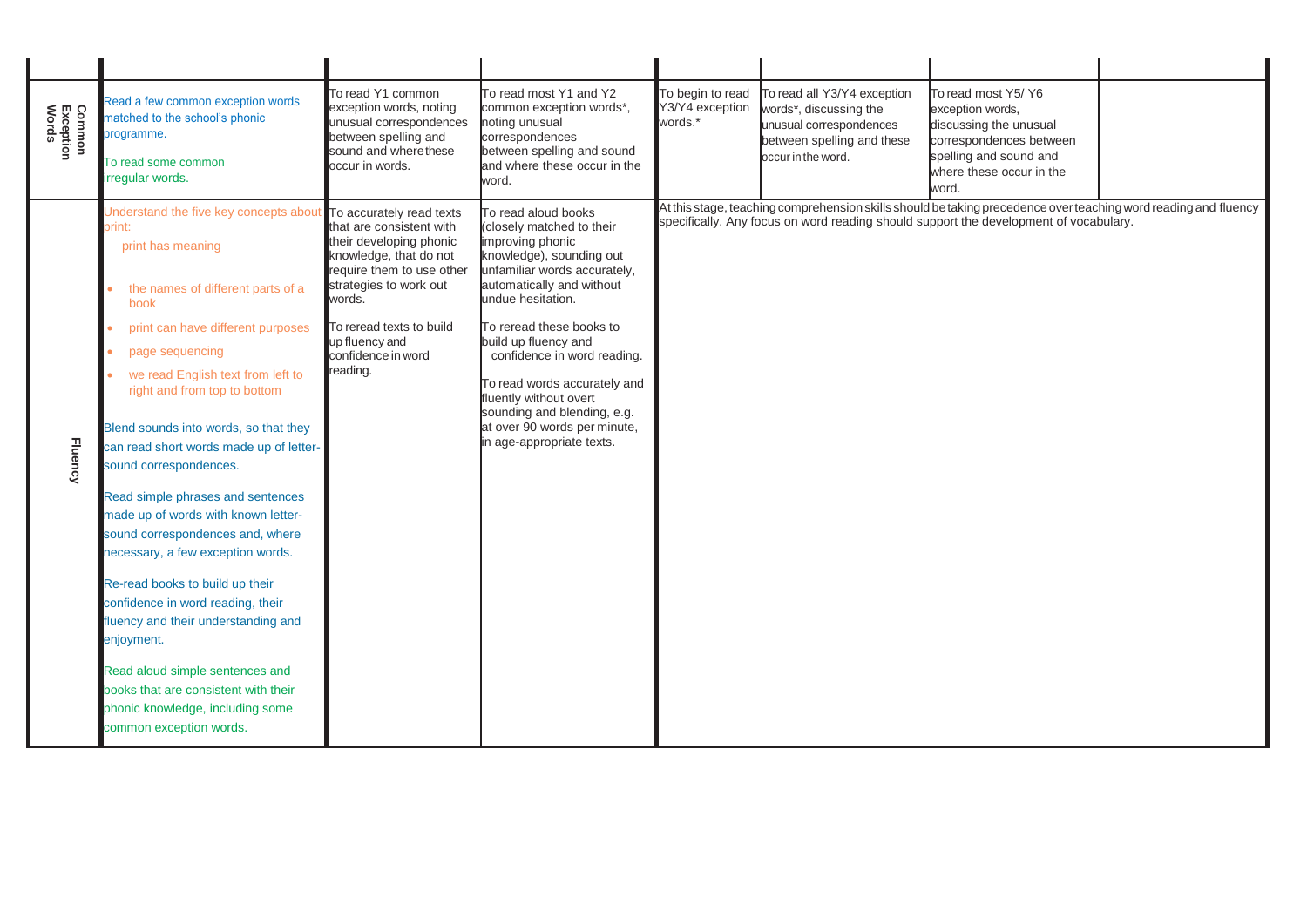| Common<br>Exception<br>Words | Read a few common exception words<br>matched to the school's phonic<br>programme.<br>To read some common<br>irregular words.                                                                                                                                                                                                                                                                                                                                                                                                                                                                                                                                                                                                                                                              | To read Y1 common<br>exception words, noting<br>unusual correspondences<br>between spelling and<br>sound and where these<br>occur in words.                                                                                                                | To read most Y1 and Y2<br>common exception words*,<br>noting unusual<br>correspondences<br>between spelling and sound<br>and where these occur in the<br>word.                                                                                                                                                                                                                                                              | To begin to read<br>Y3/Y4 exception<br>words.* | To read all Y3/Y4 exception<br>words*, discussing the<br>unusual correspondences<br>between spelling and these<br>occur in the word. | To read most Y5/ Y6<br>exception words.<br>discussing the unusual<br>correspondences between<br>spelling and sound and<br>where these occur in the<br>word.                                              |  |
|------------------------------|-------------------------------------------------------------------------------------------------------------------------------------------------------------------------------------------------------------------------------------------------------------------------------------------------------------------------------------------------------------------------------------------------------------------------------------------------------------------------------------------------------------------------------------------------------------------------------------------------------------------------------------------------------------------------------------------------------------------------------------------------------------------------------------------|------------------------------------------------------------------------------------------------------------------------------------------------------------------------------------------------------------------------------------------------------------|-----------------------------------------------------------------------------------------------------------------------------------------------------------------------------------------------------------------------------------------------------------------------------------------------------------------------------------------------------------------------------------------------------------------------------|------------------------------------------------|--------------------------------------------------------------------------------------------------------------------------------------|----------------------------------------------------------------------------------------------------------------------------------------------------------------------------------------------------------|--|
| <b>Fluency</b>               | Understand the five key concepts about<br>print:<br>print has meaning<br>the names of different parts of a<br>book<br>print can have different purposes<br>page sequencing<br>we read English text from left to<br>right and from top to bottom<br>Blend sounds into words, so that they<br>can read short words made up of letter-<br>sound correspondences.<br>Read simple phrases and sentences<br>made up of words with known letter-<br>sound correspondences and, where<br>necessary, a few exception words.<br>Re-read books to build up their<br>confidence in word reading, their<br>fluency and their understanding and<br>enjoyment.<br>Read aloud simple sentences and<br>books that are consistent with their<br>phonic knowledge, including some<br>common exception words. | To accurately read texts<br>that are consistent with<br>their developing phonic<br>knowledge, that do not<br>require them to use other<br>strategies to work out<br>words.<br>To reread texts to build<br>up fluency and<br>confidence in word<br>reading. | To read aloud books<br>(closely matched to their<br>improving phonic<br>knowledge), sounding out<br>unfamiliar words accurately,<br>automatically and without<br>undue hesitation.<br>To reread these books to<br>build up fluency and<br>confidence in word reading.<br>To read words accurately and<br>fluently without overt<br>sounding and blending, e.g.<br>at over 90 words per minute,<br>in age-appropriate texts. |                                                |                                                                                                                                      | At this stage, teaching comprehension skills should be taking precedence over teaching word reading and fluency<br>specifically. Any focus on word reading should support the development of vocabulary. |  |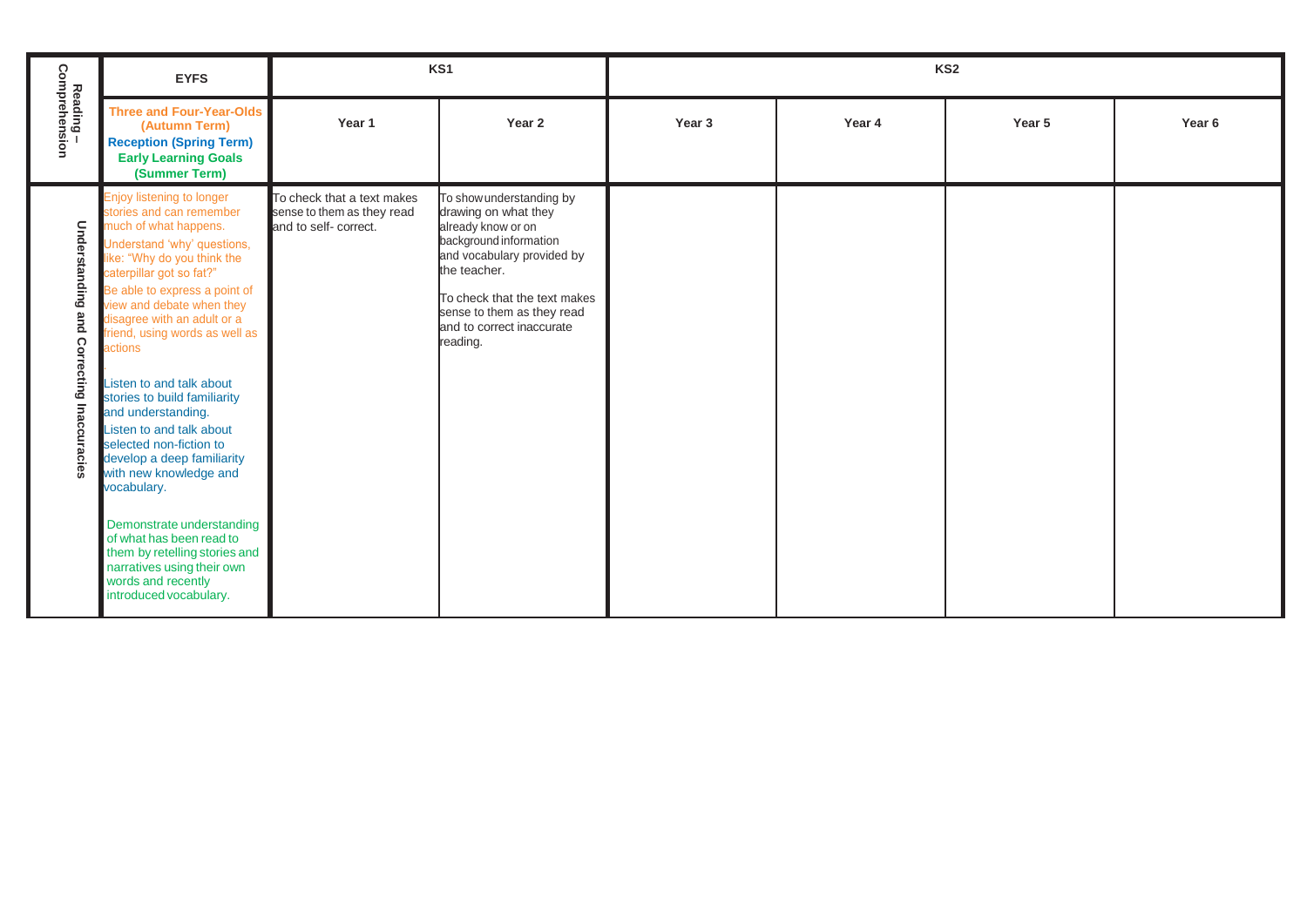|                                           | <b>EYFS</b>                                                                                                                                                                                                                                                                                                                                                                                                                                                                                                                                                                                                                                                                                                | KS1                                                                               |                                                                                                                                                                                                                                                       | KS <sub>2</sub> |        |        |                   |
|-------------------------------------------|------------------------------------------------------------------------------------------------------------------------------------------------------------------------------------------------------------------------------------------------------------------------------------------------------------------------------------------------------------------------------------------------------------------------------------------------------------------------------------------------------------------------------------------------------------------------------------------------------------------------------------------------------------------------------------------------------------|-----------------------------------------------------------------------------------|-------------------------------------------------------------------------------------------------------------------------------------------------------------------------------------------------------------------------------------------------------|-----------------|--------|--------|-------------------|
| Reading –<br>Comprehension                | <b>Three and Four-Year-Olds</b><br>(Autumn Term)<br><b>Reception (Spring Term)</b><br><b>Early Learning Goals</b><br>(Summer Term)                                                                                                                                                                                                                                                                                                                                                                                                                                                                                                                                                                         | Year <sub>1</sub>                                                                 | Year 2                                                                                                                                                                                                                                                | Year 3          | Year 4 | Year 5 | Year <sub>6</sub> |
| Understanding and Correcting Inaccuracies | Enjoy listening to longer<br>stories and can remember<br>much of what happens.<br>Understand 'why' questions,<br>like: "Why do you think the<br>caterpillar got so fat?"<br>Be able to express a point of<br>view and debate when they<br>disagree with an adult or a<br>friend, using words as well as<br>actions<br>Listen to and talk about<br>stories to build familiarity<br>and understanding.<br>Listen to and talk about<br>selected non-fiction to<br>develop a deep familiarity<br>with new knowledge and<br>vocabulary.<br>Demonstrate understanding<br>of what has been read to<br>them by retelling stories and<br>narratives using their own<br>words and recently<br>introduced vocabulary. | To check that a text makes<br>sense to them as they read<br>and to self- correct. | To show understanding by<br>drawing on what they<br>already know or on<br>background information<br>and vocabulary provided by<br>the teacher.<br>To check that the text makes<br>sense to them as they read<br>and to correct inaccurate<br>reading. |                 |        |        |                   |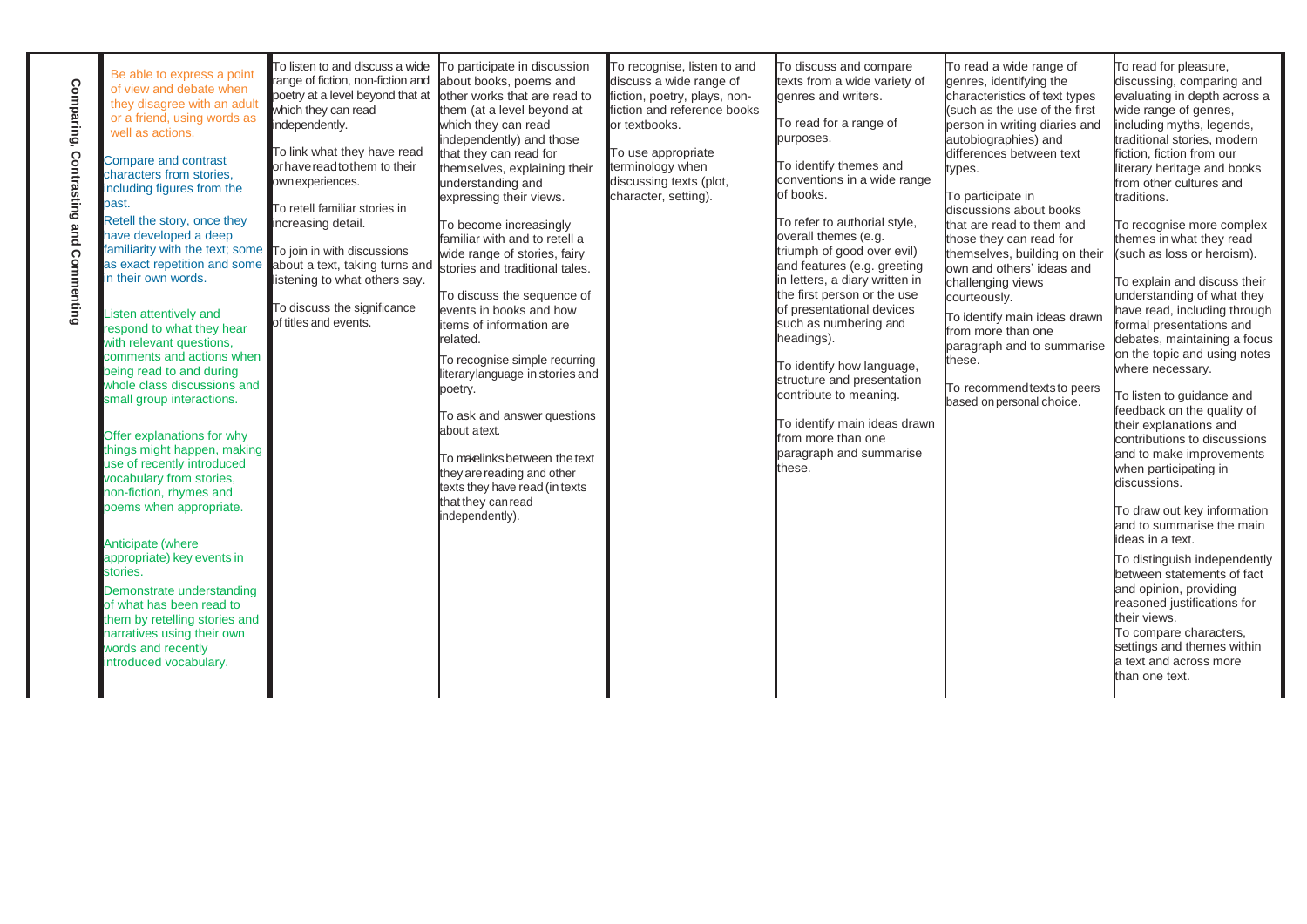**[Comparing, Contrasting and Commenting](https://www.twinkl.co.uk/resource/deep-dive-into-reading-self-review-and-resource-pack-t-e-2548595)**

Comparing, Contrasting and Commenting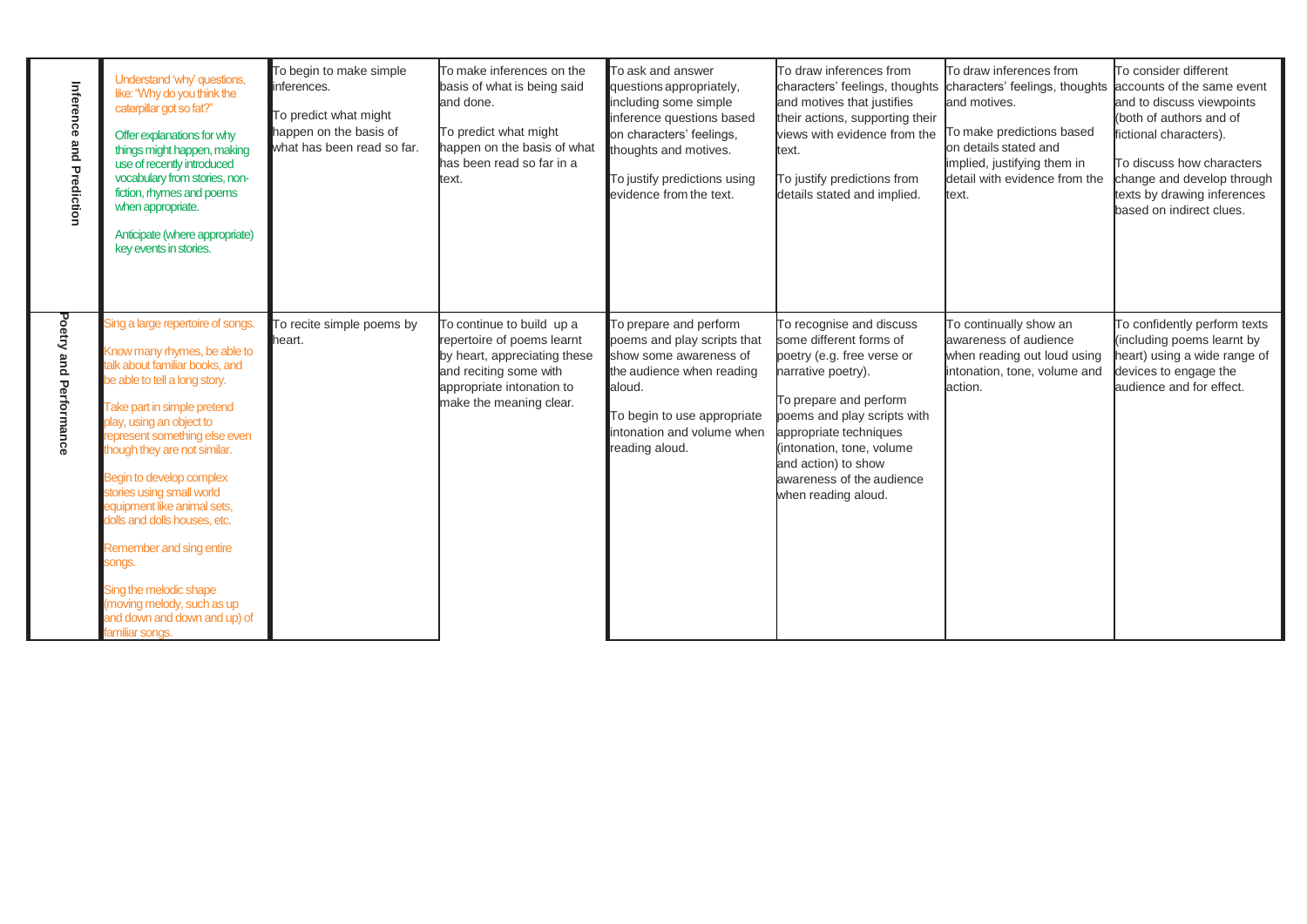| Inference and Prediction | Understand 'why' questions,<br>like: "Why do you think the<br>caterpillar got so fat?"<br>Offer explanations for why<br>things might happen, making<br>use of recently introduced<br>vocabulary from stories, non-<br>fiction, rhymes and poems<br>when appropriate.<br>Anticipate (where appropriate)<br>key events in stories.                                                                                                                                                                                                                 | To begin to make simple<br>inferences.<br>To predict what might<br>happen on the basis of<br>what has been read so far. | To make inferences on the<br>basis of what is being said<br>and done.<br>To predict what might<br>happen on the basis of what<br>has been read so far in a<br>text.       | To ask and answer<br>questions appropriately,<br>including some simple<br>inference questions based<br>on characters' feelings,<br>thoughts and motives.<br>To justify predictions using<br>evidence from the text. | To draw inferences from<br>characters' feelings, thoughts<br>and motives that justifies<br>their actions, supporting their<br>views with evidence from the<br>text.<br>To justify predictions from<br>details stated and implied.                                                                  | To draw inferences from<br>characters' feelings, thoughts accounts of the same event<br>and motives.<br>To make predictions based<br>on details stated and<br>implied, justifying them in<br>detail with evidence from the<br>text. | To consider different<br>and to discuss viewpoints<br>(both of authors and of<br>fictional characters).<br>To discuss how characters<br>change and develop through<br>texts by drawing inferences<br>based on indirect clues. |
|--------------------------|--------------------------------------------------------------------------------------------------------------------------------------------------------------------------------------------------------------------------------------------------------------------------------------------------------------------------------------------------------------------------------------------------------------------------------------------------------------------------------------------------------------------------------------------------|-------------------------------------------------------------------------------------------------------------------------|---------------------------------------------------------------------------------------------------------------------------------------------------------------------------|---------------------------------------------------------------------------------------------------------------------------------------------------------------------------------------------------------------------|----------------------------------------------------------------------------------------------------------------------------------------------------------------------------------------------------------------------------------------------------------------------------------------------------|-------------------------------------------------------------------------------------------------------------------------------------------------------------------------------------------------------------------------------------|-------------------------------------------------------------------------------------------------------------------------------------------------------------------------------------------------------------------------------|
| Poetry and Performance   | Sing a large repertoire of songs.<br>Know many rhymes, be able to<br>talk about familiar books, and<br>be able to tell a long story.<br>Take part in simple pretend<br>play, using an object to<br>represent something else even<br>though they are not similar.<br><b>Begin to develop complex</b><br>stories using small world<br>equipment like animal sets,<br>dolls and dolls houses, etc.<br>Remember and sing entire<br>songs.<br>Sing the melodic shape<br>(moving melody, such as up<br>and down and down and up) of<br>familiar songs. | To recite simple poems by<br>heart.                                                                                     | To continue to build up a<br>repertoire of poems learnt<br>by heart, appreciating these<br>and reciting some with<br>appropriate intonation to<br>make the meaning clear. | To prepare and perform<br>poems and play scripts that<br>show some awareness of<br>the audience when reading<br>aloud.<br>To begin to use appropriate<br>intonation and volume when<br>reading aloud.               | To recognise and discuss<br>some different forms of<br>poetry (e.g. free verse or<br>narrative poetry).<br>To prepare and perform<br>poems and play scripts with<br>appropriate techniques<br>(intonation, tone, volume<br>and action) to show<br>awareness of the audience<br>when reading aloud. | To continually show an<br>awareness of audience<br>when reading out loud using<br>intonation, tone, volume and<br>action.                                                                                                           | To confidently perform texts<br>(including poems learnt by<br>heart) using a wide range of<br>devices to engage the<br>audience and for effect.                                                                               |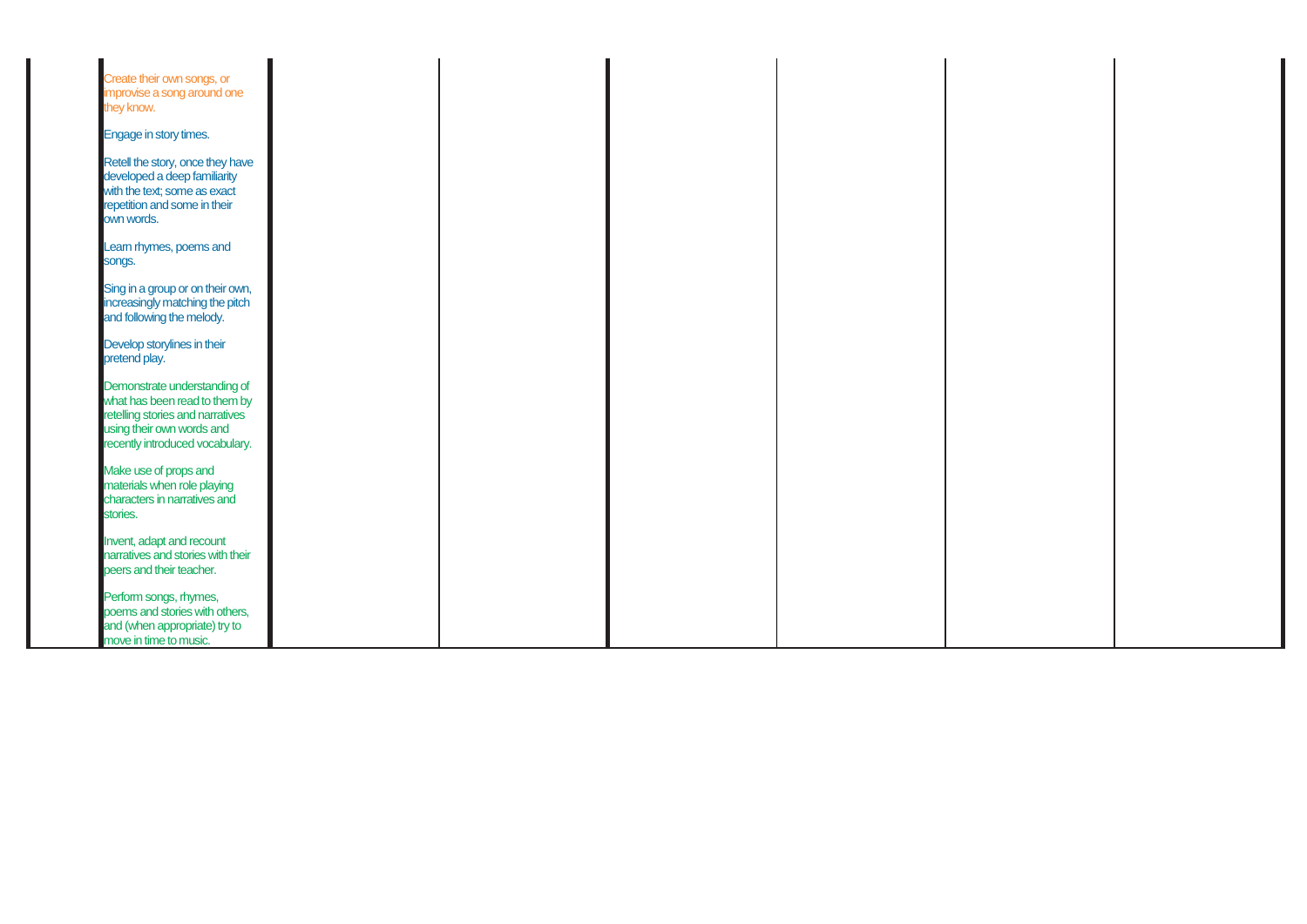| Create their own songs, or<br>improvise a song around one<br>they know.                                                                                           |  |  |  |
|-------------------------------------------------------------------------------------------------------------------------------------------------------------------|--|--|--|
| Engage in story times.                                                                                                                                            |  |  |  |
| Retell the story, once they have<br>developed a deep familiarity<br>with the text; some as exact<br>repetition and some in their<br>own words.                    |  |  |  |
| Learn rhymes, poems and<br>songs.                                                                                                                                 |  |  |  |
| Sing in a group or on their own,<br>increasingly matching the pitch<br>and following the melody.                                                                  |  |  |  |
| Develop storylines in their<br>pretend play.                                                                                                                      |  |  |  |
| Demonstrate understanding of<br>what has been read to them by<br>retelling stories and narratives<br>using their own words and<br>recently introduced vocabulary. |  |  |  |
| Make use of props and<br>materials when role playing<br>characters in narratives and<br>stories.                                                                  |  |  |  |
| Invent, adapt and recount<br>narratives and stories with their<br>peers and their teacher.                                                                        |  |  |  |
| Perform songs, rhymes,<br>poems and stories with others,<br>and (when appropriate) try to<br>move in time to music.                                               |  |  |  |